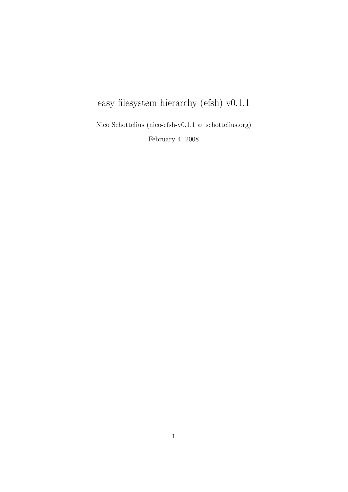# easy filesystem hierarchy (efsh) v0.1.1

Nico Schottelius (nico-efsh-v0.1.1 at schottelius.org) February 4, 2008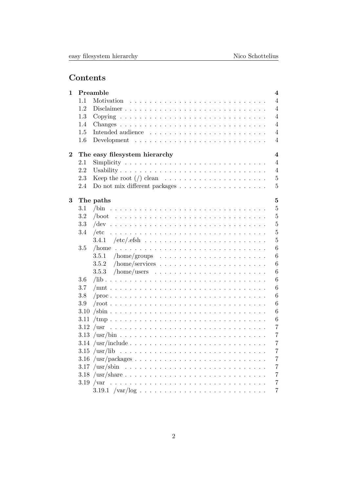## Contents

| 1                |                                                          | Preamble   | $\overline{4}$ |  |  |  |  |  |
|------------------|----------------------------------------------------------|------------|----------------|--|--|--|--|--|
|                  | 1.1                                                      | Motivation | $\overline{4}$ |  |  |  |  |  |
|                  | 1.2                                                      |            | $\overline{4}$ |  |  |  |  |  |
|                  | 1.3                                                      |            | $\overline{4}$ |  |  |  |  |  |
|                  | 1.4                                                      |            | $\overline{4}$ |  |  |  |  |  |
|                  | 1.5                                                      |            | $\overline{4}$ |  |  |  |  |  |
|                  | 1.6                                                      |            | $\overline{4}$ |  |  |  |  |  |
| $\boldsymbol{2}$ | $\overline{\mathbf{4}}$<br>The easy filesystem hierarchy |            |                |  |  |  |  |  |
|                  | $2.1\,$                                                  |            | $\overline{4}$ |  |  |  |  |  |
|                  | 2.2                                                      | Usability  | $\overline{4}$ |  |  |  |  |  |
|                  | 2.3                                                      |            | $\bf 5$        |  |  |  |  |  |
|                  | 2.4                                                      |            | $\overline{5}$ |  |  |  |  |  |
| 3                |                                                          | The paths  | $\overline{5}$ |  |  |  |  |  |
|                  | 3.1                                                      |            | $\overline{5}$ |  |  |  |  |  |
|                  | 3.2                                                      |            | $\overline{5}$ |  |  |  |  |  |
|                  | 3.3                                                      |            | $\overline{5}$ |  |  |  |  |  |
|                  | 3.4                                                      |            | $\overline{5}$ |  |  |  |  |  |
|                  |                                                          | 3.4.1      | $\overline{5}$ |  |  |  |  |  |
|                  | 3.5                                                      |            | 6              |  |  |  |  |  |
|                  |                                                          | 3.5.1      | 6              |  |  |  |  |  |
|                  |                                                          | 3.5.2      | 6              |  |  |  |  |  |
|                  |                                                          | 3.5.3      | 6              |  |  |  |  |  |
|                  | 3.6                                                      |            | 6              |  |  |  |  |  |
|                  | 3.7                                                      |            | 6              |  |  |  |  |  |
|                  | 3.8                                                      |            | 6              |  |  |  |  |  |
|                  | 3.9                                                      |            | 6              |  |  |  |  |  |
|                  |                                                          |            | 6              |  |  |  |  |  |
|                  |                                                          |            | 6              |  |  |  |  |  |
|                  |                                                          |            | 7              |  |  |  |  |  |
|                  |                                                          |            | $\overline{7}$ |  |  |  |  |  |
|                  |                                                          |            | $\overline{7}$ |  |  |  |  |  |
|                  |                                                          |            | $\overline{7}$ |  |  |  |  |  |
|                  |                                                          |            | $\overline{7}$ |  |  |  |  |  |
|                  |                                                          |            | $\overline{7}$ |  |  |  |  |  |
|                  |                                                          |            | $\overline{7}$ |  |  |  |  |  |
|                  |                                                          |            | $\overline{7}$ |  |  |  |  |  |
|                  |                                                          |            | 7              |  |  |  |  |  |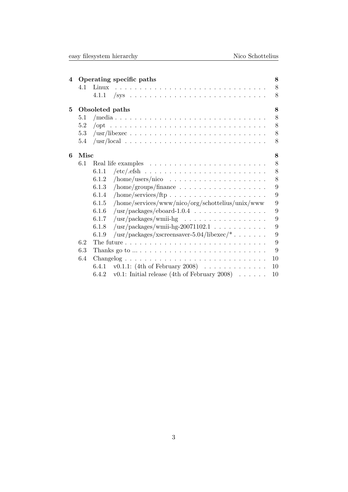| easy filesystem hierarchy |  |
|---------------------------|--|
|                           |  |

| 4 |                 | Operating specific paths                                                              | 8  |  |  |  |
|---|-----------------|---------------------------------------------------------------------------------------|----|--|--|--|
|   | 4.1             | Linux                                                                                 | 8  |  |  |  |
|   |                 |                                                                                       | 8  |  |  |  |
| 5 | Obsoleted paths |                                                                                       |    |  |  |  |
|   | 5.1             |                                                                                       | 8  |  |  |  |
|   | 5.2             |                                                                                       | 8  |  |  |  |
|   | 5.3             |                                                                                       | 8  |  |  |  |
|   | 5.4             |                                                                                       | 8  |  |  |  |
| 6 | Misc<br>8       |                                                                                       |    |  |  |  |
|   | 6.1             |                                                                                       | 8  |  |  |  |
|   |                 | 6.1.1                                                                                 | 8  |  |  |  |
|   |                 | 6.1.2                                                                                 | 8  |  |  |  |
|   |                 | 6.1.3                                                                                 | 9  |  |  |  |
|   |                 | $/ \text{home/services/ftp} \dots \dots \dots \dots \dots \dots \dots \dots$<br>6.1.4 | 9  |  |  |  |
|   |                 | /home/services/www/nico/org/schottelius/unix/www<br>6.1.5                             | 9  |  |  |  |
|   |                 | 6.1.6<br>$\sqrt{\text{usr}}/\text{packages}/\text{eboard-1.0.4}$                      | 9  |  |  |  |
|   |                 | 6.1.7                                                                                 | 9  |  |  |  |
|   |                 | $\sqrt{\text{usr}}/\text{packages}/\text{wmi-hg-20071102.1}$<br>6.1.8                 | 9  |  |  |  |
|   |                 | $\frac{\text{w}}{\text{w}}$ /usr/packages/xscreensaver-5.04/libexec/*<br>6.1.9        | 9  |  |  |  |
|   | 6.2             |                                                                                       | 9  |  |  |  |
|   | 6.3             |                                                                                       | 9  |  |  |  |
|   | 6.4             |                                                                                       | 10 |  |  |  |
|   |                 | v0.1.1: $(4th$ of February 2008)<br>6.4.1                                             | 10 |  |  |  |
|   |                 | v0.1: Initial release (4th of February 2008) $\ldots \ldots$<br>6.4.2                 | 10 |  |  |  |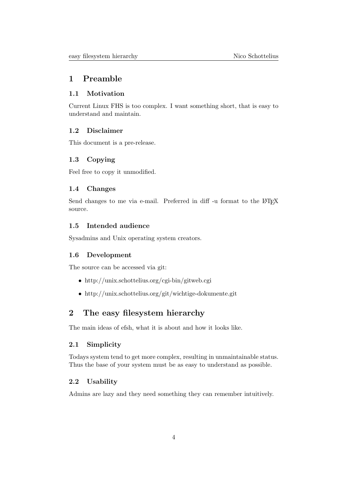## 1 Preamble

## 1.1 Motivation

Current Linux FHS is too complex. I want something short, that is easy to understand and maintain.

## 1.2 Disclaimer

This document is a pre-release.

## 1.3 Copying

Feel free to copy it unmodified.

## 1.4 Changes

Send changes to me via e-mail. Preferred in diff -u format to the LAT<sub>EX</sub> source.

## 1.5 Intended audience

Sysadmins and Unix operating system creators.

## 1.6 Development

The source can be accessed via git:

- http://unix.schottelius.org/cgi-bin/gitweb.cgi
- http://unix.schottelius.org/git/wichtige-dokumente.git

## 2 The easy filesystem hierarchy

The main ideas of efsh, what it is about and how it looks like.

## 2.1 Simplicity

Todays system tend to get more complex, resulting in unmaintainable status. Thus the base of your system must be as easy to understand as possible.

## 2.2 Usability

Admins are lazy and they need something they can remember intuitively.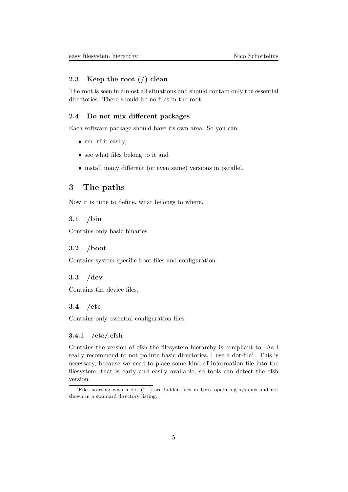#### 2.3 Keep the root (/) clean

The root is seen in almost all situations and should contain only the essential directories. There should be no files in the root.

## 2.4 Do not mix different packages

Each software package should have its own area. So you can

- rm -rf it easily,
- see what files belong to it and
- install many different (or even same) versions in parallel.

## 3 The paths

Now it is time to define, what belongs to where.

## 3.1 /bin

Contains only basic binaries.

## 3.2 /boot

Contains system specific boot files and configuration.

#### 3.3 /dev

Contains the device files.

### 3.4 /etc

Contains only essential configuration files.

## 3.4.1 /etc/.efsh

Contains the version of efsh the filesystem hierarchy is compliant to. As I really recommend to not pollute basic directories, I use a dot-file<sup>1</sup>. This is necessary, because we need to place some kind of information file into the filesystem, that is early and easily available, so tools can detect the efsh version.

<sup>&</sup>lt;sup>1</sup>Files starting with a dot  $("")$  are hidden files in Unix operating systems and not shown in a standard directory listing.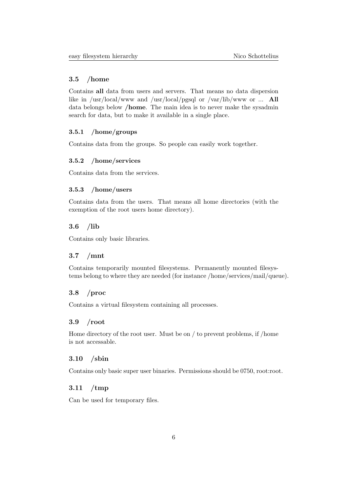### 3.5 /home

Contains all data from users and servers. That means no data dispersion like in /usr/local/www and /usr/local/pgsql or /var/lib/www or ... All data belongs below /home. The main idea is to never make the sysadmin search for data, but to make it available in a single place.

## 3.5.1 /home/groups

Contains data from the groups. So people can easily work together.

## 3.5.2 /home/services

Contains data from the services.

#### 3.5.3 /home/users

Contains data from the users. That means all home directories (with the exemption of the root users home directory).

## 3.6 /lib

Contains only basic libraries.

#### 3.7 /mnt

Contains temporarily mounted filesystems. Permanently mounted filesystems belong to where they are needed (for instance /home/services/mail/queue).

## 3.8 /proc

Contains a virtual filesystem containing all processes.

#### 3.9 /root

Home directory of the root user. Must be on / to prevent problems, if /home is not accessable.

#### 3.10 /sbin

Contains only basic super user binaries. Permissions should be 0750, root:root.

## 3.11 /tmp

Can be used for temporary files.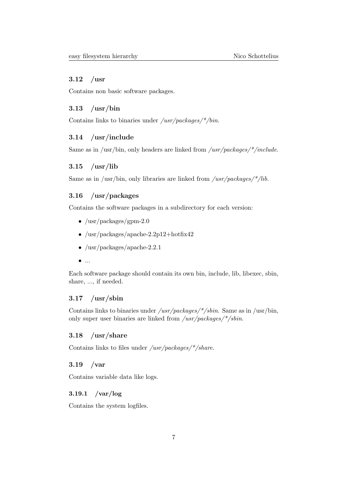### 3.12 /usr

Contains non basic software packages.

## 3.13 /usr/bin

Contains links to binaries under  $/usr/packages/*/bin.$ 

## 3.14 /usr/include

Same as in /usr/bin, only headers are linked from /usr/packages/\*/include.

## 3.15 /usr/lib

Same as in /usr/bin, only libraries are linked from /usr/packages/\*/lib.

## 3.16 /usr/packages

Contains the software packages in a subdirectory for each version:

- $/usr/packages/gpm-2.0$
- $/$ usr $/$ packages $/$ apache-2.2p12+hotfix42
- /usr/packages/apache-2.2.1
- $\bullet$  ...

Each software package should contain its own bin, include, lib, libexec, sbin, share, ..., if needed.

## $3.17$  /usr/sbin

Contains links to binaries under  $/usr/packages/*/sbin$ . Same as in /usr/bin, only super user binaries are linked from /usr/packages/\*/sbin.

## 3.18 /usr/share

Contains links to files under  $/usr/packages/*/share.$ 

## 3.19 /var

Contains variable data like logs.

### 3.19.1 /var/log

Contains the system logfiles.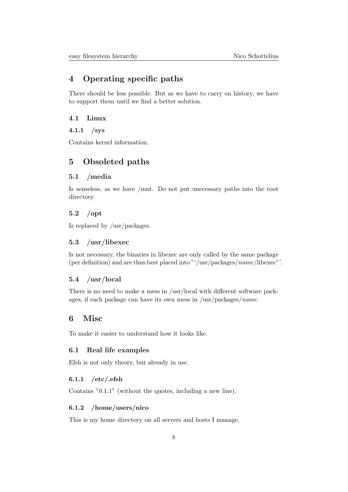## 4 Operating specific paths

There should be less possible. But as we have to carry on history, we have to support them until we find a better solution.

## 4.1 Linux

#### 4.1.1 /sys

Contains kernel information.

## 5 Obsoleted paths

## 5.1 /media

Is senseless, as we have /mnt. Do not put unecessary paths into the root directory.

## 5.2 /opt

Is replaced by /usr/packages.

## 5.3 /usr/libexec

Is not necessary, the binaries in libexec are only called by the same package (per definition) and are thus best placed into "'/usr/packages/name/libexec"'.

## 5.4 /usr/local

There is no need to make a mess in /usr/local with different software packages, if each package can have its own mess in /usr/packages/*name*.

## 6 Misc

To make it easier to understand how it looks like.

#### 6.1 Real life examples

Efsh is not only theory, but already in use.

## $6.1.1$  /etc/.efsh

Contains "0.1.1" (without the quotes, including a new line).

#### 6.1.2 /home/users/nico

This is my home directory on all servers and hosts I manage.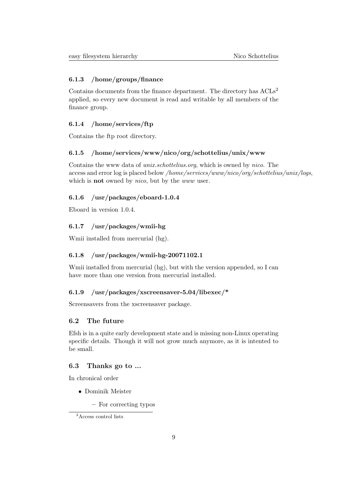#### 6.1.3 /home/groups/finance

Contains documents from the finance department. The directory has  $ACIs<sup>2</sup>$ applied, so every new document is read and writable by all members of the finance group.

### 6.1.4 /home/services/ftp

Contains the ftp root directory.

## 6.1.5 /home/services/www/nico/org/schottelius/unix/www

Contains the www data of unix.schottelius.org, which is owned by nico. The access and error log is placed below /home/services/www/nico/org/schottelius/unix/logs, which is **not** owned by *nico*, but by the *www* user.

## 6.1.6 /usr/packages/eboard-1.0.4

Eboard in version 1.0.4.

## 6.1.7 /usr/packages/wmii-hg

Wmii installed from mercurial (hg).

## 6.1.8 /usr/packages/wmii-hg-20071102.1

Wmii installed from mercurial (hg), but with the version appended, so I can have more than one version from mercurial installed.

## 6.1.9 /usr/packages/xscreensaver-5.04/libexec/\*

Screensavers from the xscreensaver package.

## 6.2 The future

Efsh is in a quite early development state and is missing non-Linux operating specific details. Though it will not grow much anymore, as it is intented to be small.

#### 6.3 Thanks go to ...

In chronical order

- Dominik Meister
	- For correcting typos

 $\rm ^2Access$  control lists